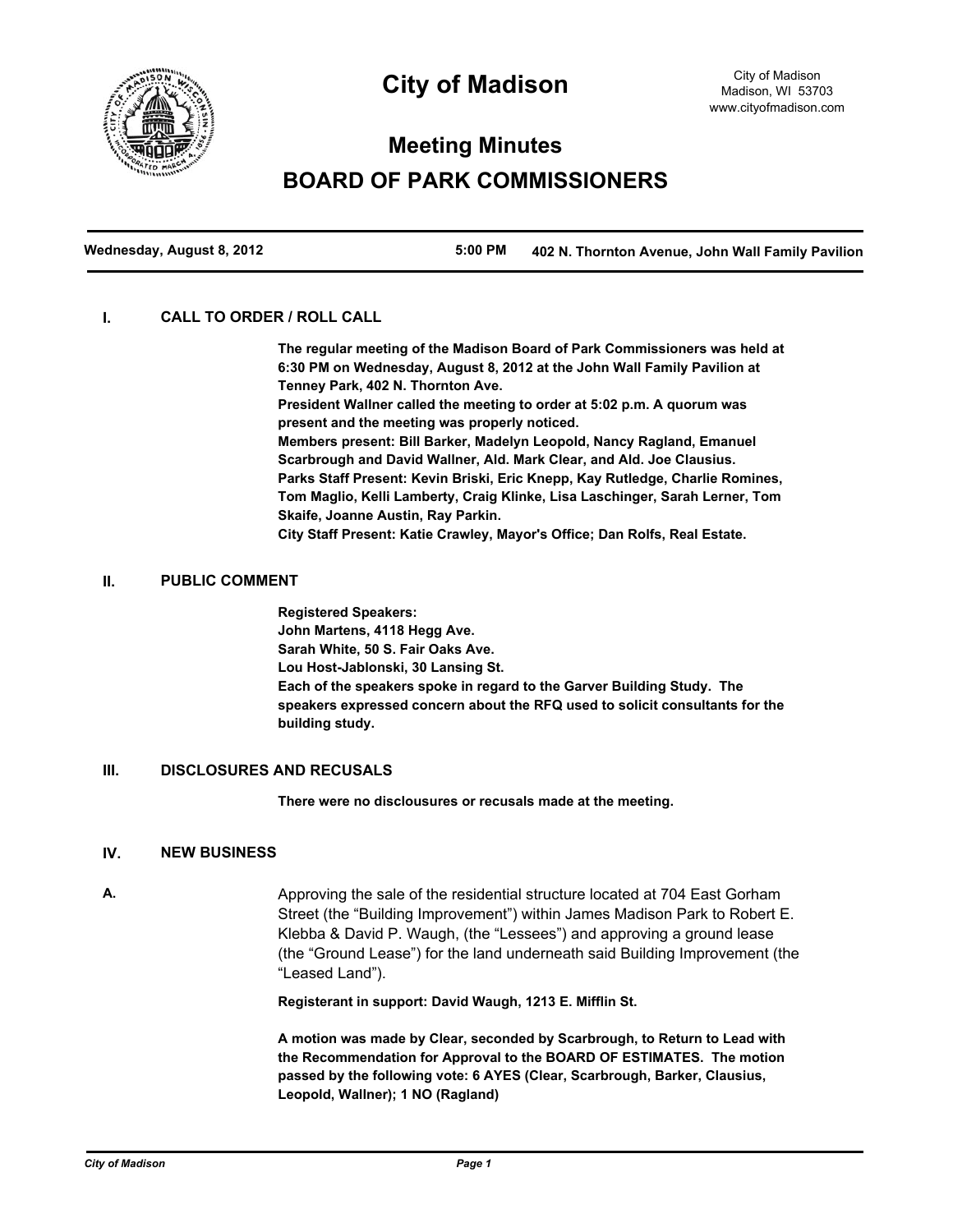

## **City of Madison**

# **Meeting Minutes BOARD OF PARK COMMISSIONERS**

**Wednesday, August 8, 2012 5:00 PM 402 N. Thornton Avenue, John Wall Family Pavilion**

#### **I. CALL TO ORDER / ROLL CALL**

**The regular meeting of the Madison Board of Park Commissioners was held at 6:30 PM on Wednesday, August 8, 2012 at the John Wall Family Pavilion at Tenney Park, 402 N. Thornton Ave.**

**President Wallner called the meeting to order at 5:02 p.m. A quorum was present and the meeting was properly noticed. Members present: Bill Barker, Madelyn Leopold, Nancy Ragland, Emanuel** 

**Scarbrough and David Wallner, Ald. Mark Clear, and Ald. Joe Clausius. Parks Staff Present: Kevin Briski, Eric Knepp, Kay Rutledge, Charlie Romines, Tom Maglio, Kelli Lamberty, Craig Klinke, Lisa Laschinger, Sarah Lerner, Tom Skaife, Joanne Austin, Ray Parkin.**

**City Staff Present: Katie Crawley, Mayor's Office; Dan Rolfs, Real Estate.**

#### **II. PUBLIC COMMENT**

**Registered Speakers: John Martens, 4118 Hegg Ave. Sarah White, 50 S. Fair Oaks Ave. Lou Host-Jablonski, 30 Lansing St. Each of the speakers spoke in regard to the Garver Building Study. The speakers expressed concern about the RFQ used to solicit consultants for the building study.**

## **III. DISCLOSURES AND RECUSALS**

**There were no disclousures or recusals made at the meeting.**

#### **IV. NEW BUSINESS**

**A.** Approving the sale of the residential structure located at 704 East Gorham Street (the "Building Improvement") within James Madison Park to Robert E. Klebba & David P. Waugh, (the "Lessees") and approving a ground lease (the "Ground Lease") for the land underneath said Building Improvement (the "Leased Land").

**Registerant in support: David Waugh, 1213 E. Mifflin St.**

**A motion was made by Clear, seconded by Scarbrough, to Return to Lead with the Recommendation for Approval to the BOARD OF ESTIMATES. The motion passed by the following vote: 6 AYES (Clear, Scarbrough, Barker, Clausius, Leopold, Wallner); 1 NO (Ragland)**